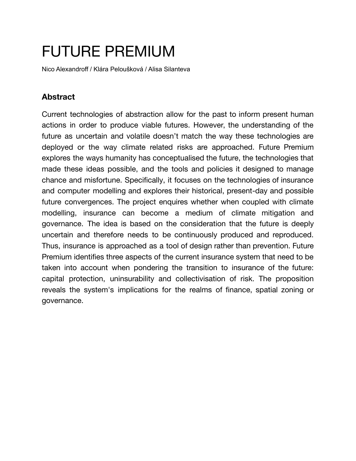# FUTURE PREMIUM

Nico Alexandroff / Klára Peloušková / Alisa Silanteva

# **Abstract**

Current technologies of abstraction allow for the past to inform present human actions in order to produce viable futures. However, the understanding of the future as uncertain and volatile doesn't match the way these technologies are deployed or the way climate related risks are approached. Future Premium explores the ways humanity has conceptualised the future, the technologies that made these ideas possible, and the tools and policies it designed to manage chance and misfortune. Specifically, it focuses on the technologies of insurance and computer modelling and explores their historical, present-day and possible future convergences. The project enquires whether when coupled with climate modelling, insurance can become a medium of climate mitigation and governance. The idea is based on the consideration that the future is deeply uncertain and therefore needs to be continuously produced and reproduced. Thus, insurance is approached as a tool of design rather than prevention. Future Premium identifies three aspects of the current insurance system that need to be taken into account when pondering the transition to insurance of the future: capital protection, uninsurability and collectivisation of risk. The proposition reveals the system's implications for the realms of finance, spatial zoning or governance.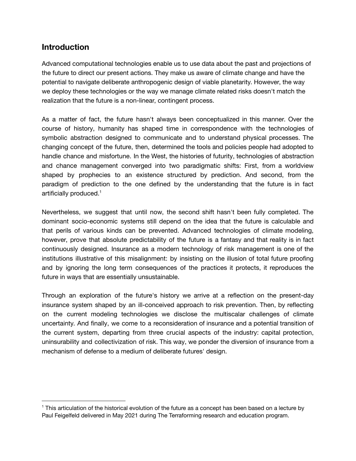# **Introduction**

Advanced computational technologies enable us to use data about the past and projections of the future to direct our present actions. They make us aware of climate change and have the potential to navigate deliberate anthropogenic design of viable planetarity. However, the way we deploy these technologies or the way we manage climate related risks doesn't match the realization that the future is a non-linear, contingent process.

As a matter of fact, the future hasn't always been conceptualized in this manner. Over the course of history, humanity has shaped time in correspondence with the technologies of symbolic abstraction designed to communicate and to understand physical processes. The changing concept of the future, then, determined the tools and policies people had adopted to handle chance and misfortune. In the West, the histories of futurity, technologies of abstraction and chance management converged into two paradigmatic shifts: First, from a worldview shaped by prophecies to an existence structured by prediction. And second, from the paradigm of prediction to the one defined by the understanding that the future is in fact artificially produced. 1

Nevertheless, we suggest that until now, the second shift hasn't been fully completed. The dominant socio-economic systems still depend on the idea that the future is calculable and that perils of various kinds can be prevented. Advanced technologies of climate modeling, however, prove that absolute predictability of the future is a fantasy and that reality is in fact continuously designed. Insurance as a modern technology of risk management is one of the institutions illustrative of this misalignment: by insisting on the illusion of total future proofing and by ignoring the long term consequences of the practices it protects, it reproduces the future in ways that are essentially unsustainable.

Through an exploration of the future's history we arrive at a reflection on the present-day insurance system shaped by an ill-conceived approach to risk prevention. Then, by reflecting on the current modeling technologies we disclose the multiscalar challenges of climate uncertainty. And finally, we come to a reconsideration of insurance and a potential transition of the current system, departing from three crucial aspects of the industry: capital protection, uninsurability and collectivization of risk. This way, we ponder the diversion of insurance from a mechanism of defense to a medium of deliberate futures' design.

 $1$  This articulation of the historical evolution of the future as a concept has been based on a lecture by Paul Feigelfeld delivered in May 2021 during The Terraforming research and education program.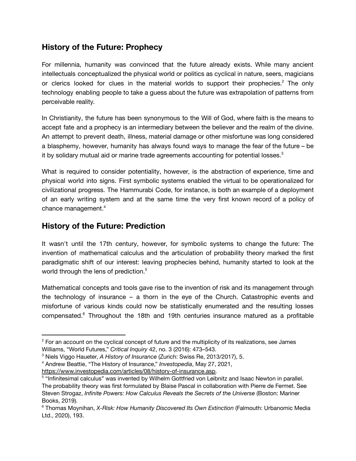# **History of the Future: Prophecy**

For millennia, humanity was convinced that the future already exists. While many ancient intellectuals conceptualized the physical world or politics as cyclical in nature, seers, magicians or clerics looked for clues in the material worlds to support their prophecies.<sup>2</sup> The only technology enabling people to take a guess about the future was extrapolation of patterns from perceivable reality.

In Christianity, the future has been synonymous to the Will of God, where faith is the means to accept fate and a prophecy is an intermediary between the believer and the realm of the divine. An attempt to prevent death, illness, material damage or other misfortune was long considered a blasphemy, however, humanity has always found ways to manage the fear of the future – be it by solidary mutual aid or marine trade agreements accounting for potential losses. $^3$ 

What is required to consider potentiality, however, is the abstraction of experience, time and physical world into signs. First symbolic systems enabled the virtual to be operationalized for civilizational progress. The Hammurabi Code, for instance, is both an example of a deployment of an early writing system and at the same time the very first known record of a policy of chance management. 4

## **History of the Future: Prediction**

It wasn't until the 17th century, however, for symbolic systems to change the future: The invention of mathematical calculus and the articulation of probability theory marked the first paradigmatic shift of our interest: leaving prophecies behind, humanity started to look at the world through the lens of prediction. 5

Mathematical concepts and tools gave rise to the invention of risk and its management through the technology of insurance – a thorn in the eye of the Church. Catastrophic events and misfortune of various kinds could now be statistically enumerated and the resulting losses compensated. <sup>6</sup> Throughout the 18th and 19th centuries insurance matured as a profitable

<sup>&</sup>lt;sup>2</sup> For an account on the cyclical concept of future and the multiplicity of its realizations, see James Williams, "World Futures," *Critical Inquiry* 42, no. 3 (2016): 473–543.

<sup>3</sup> Niels Viggo Haueter, *A History of Insurance* (Zurich: Swiss Re, 2013/2017), 5.

<sup>4</sup> Andrew Beattie, "The History of Insurance," *Investopedia*, May 27, 2021,

[https://www.investopedia.com/articles/08/history-of-insurance.asp.](https://www.investopedia.com/articles/08/history-of-insurance.asp)

<sup>5</sup> "Infinitesimal calculus" was invented by Wilhelm Gottfried von Leibnitz and Isaac Newton in parallel. The probability theory was first formulated by Blaise Pascal in collaboration with Pierre de Fermet. See Steven Strogaz, *Infinite Powers: How Calculus Reveals the Secrets of the Universe* (Boston: Mariner Books, 2019).

<sup>6</sup> Thomas Moynihan, *X-Risk: How Humanity Discovered Its Own Extinction* (Falmouth: Urbanomic Media Ltd., 2020), 193.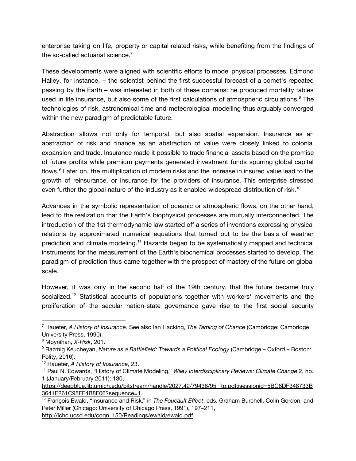enterprise taking on life, property or capital related risks, while benefiting from the findings of the so-called actuarial science. $^7$ 

These developments were aligned with scientific efforts to model physical processes. Edmond Halley, for instance, – the scientist behind the first successful forecast of a comet's repeated passing by the Earth – was interested in both of these domains: he produced mortality tables used in life insurance, but also some of the first calculations of atmospheric circulations.<sup>8</sup> The technologies of risk, astronomical time and meteorological modelling thus arguably converged within the new paradigm of predictable future.

Abstraction allows not only for temporal, but also spatial expansion. Insurance as an abstraction of risk and finance as an abstraction of value were closely linked to colonial expansion and trade. Insurance made it possible to trade financial assets based on the promise of future profits while premium payments generated investment funds spurring global capital flows.<sup>9</sup> Later on, the multiplication of modern risks and the increase in insured value lead to the growth of reinsurance, or insurance for the providers of insurance. This enterprise stressed even further the global nature of the industry as it enabled widespread distribution of risk.<sup>10</sup>

Advances in the symbolic representation of oceanic or atmospheric flows, on the other hand, lead to the realization that the Earth's biophysical processes are mutually interconnected. The introduction of the 1st thermodynamic law started off a series of inventions expressing physical relations by approximated numerical equations that turned out to be the basis of weather prediction and climate modeling.<sup>11</sup> Hazards began to be systematically mapped and technical instruments for the measurement of the Earth's biochemical processes started to develop. The paradigm of prediction thus came together with the prospect of mastery of the future on global scale.

However, it was only in the second half of the 19th century, that the future became truly socialized.<sup>12</sup> Statistical accounts of populations together with workers' movements and the proliferation of the secular nation-state governance gave rise to the first social security

<sup>7</sup> Haueter, *A History of Insurance*. See also Ian Hacking, *The Taming of Chance* (Cambridge: Cambridge University Press, 1990).

<sup>8</sup> Moynihan, *X-Risk*, 201.

<sup>9</sup> Razmig Keucheyan, *Nature as a Battlefield: Towards a Political Ecology* (Cambridge – Oxford – Boston: Polity, 2016).

<sup>10</sup> Haueter, *A History of Insurance*, 23.

<sup>11</sup> Paul N. Edwards, "History of Climate Modeling," *Wiley Interdisciplinary Reviews: Climate Change* 2, no. 1 (January/February 2011): 130,

[https://deepblue.lib.umich.edu/bitstream/handle/2027.42/79438/95\\_ftp.pdf;jsessionid=5BC8DF348733B](https://deepblue.lib.umich.edu/bitstream/handle/2027.42/79438/95_ftp.pdf;jsessionid=5BC8DF348733B3641E261C95FF4B8F06?sequence=1) [3641E261C95FF4B8F06?sequence=1](https://deepblue.lib.umich.edu/bitstream/handle/2027.42/79438/95_ftp.pdf;jsessionid=5BC8DF348733B3641E261C95FF4B8F06?sequence=1).

<sup>12</sup> François Ewald, "Insurance and Risk," in *The Foucault Effect*, eds. Graham Burchell, Colin Gordon, and Peter Miller (Chicago: University of Chicago Press, 1991), 197–211, [http://lchc.ucsd.edu/cogn\\_150/Readings/ewald/ewald.pdf.](http://lchc.ucsd.edu/cogn_150/Readings/ewald/ewald.pdf)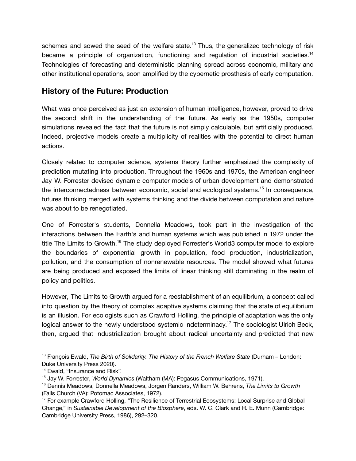schemes and sowed the seed of the welfare state.<sup>13</sup> Thus, the generalized technology of risk became a principle of organization, functioning and regulation of industrial societies.<sup>14</sup> Technologies of forecasting and deterministic planning spread across economic, military and other institutional operations, soon amplified by the cybernetic prosthesis of early computation.

# **History of the Future: Production**

What was once perceived as just an extension of human intelligence, however, proved to drive the second shift in the understanding of the future. As early as the 1950s, computer simulations revealed the fact that the future is not simply calculable, but artificially produced. Indeed, projective models create a multiplicity of realities with the potential to direct human actions.

Closely related to computer science, systems theory further emphasized the complexity of prediction mutating into production. Throughout the 1960s and 1970s, the American engineer Jay W. Forrester devised dynamic computer models of urban development and demonstrated the interconnectedness between economic, social and ecological systems.<sup>15</sup> In consequence, futures thinking merged with systems thinking and the divide between computation and nature was about to be renegotiated.

One of Forrester's students, Donnella Meadows, took part in the investigation of the interactions between the Earth's and human systems which was published in 1972 under the title The Limits to Growth.<sup>16</sup> The study deployed Forrester's World3 computer model to explore the boundaries of exponential growth in population, food production, industrialization, pollution, and the consumption of nonrenewable resources. The model showed what futures are being produced and exposed the limits of linear thinking still dominating in the realm of policy and politics.

However, The Limits to Growth argued for a reestablishment of an equilibrium, a concept called into question by the theory of complex adaptive systems claiming that the state of equilibrium is an illusion. For ecologists such as Crawford Holling, the principle of adaptation was the only logical answer to the newly understood systemic indeterminacy.<sup>17</sup> The sociologist Ulrich Beck, then, argued that industrialization brought about radical uncertainty and predicted that new

<sup>13</sup> François Ewald, *The Birth of Solidarity. The History of the French Welfare State* (Durham – London: Duke University Press 2020).

<sup>&</sup>lt;sup>14</sup> Ewald, "Insurance and Risk".

<sup>15</sup> Jay W. Forrester, *World Dynamics* (Waltham (MA): Pegasus Communications, 1971).

<sup>16</sup> Dennis Meadows, Donnella Meadows, Jorgen Randers, William W. Behrens, *The Limits to Growth* (Falls Church (VA): Potomac Associates, 1972).

<sup>&</sup>lt;sup>17</sup> For example Crawford Holling, "The Resilience of Terrestrial Ecosystems: Local Surprise and Global Change," in *Sustainable Development of the Biosphere*, eds. W. C. Clark and R. E. Munn (Cambridge: Cambridge University Press, 1986), 292–320.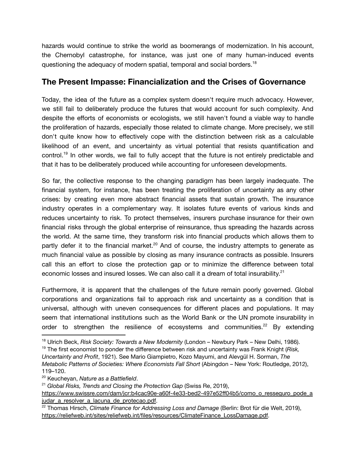hazards would continue to strike the world as boomerangs of modernization. In his account, the Chernobyl catastrophe, for instance, was just one of many human-induced events questioning the adequacy of modern spatial, temporal and social borders.<sup>18</sup>

# **The Present Impasse: Financialization and the Crises of Governance**

Today, the idea of the future as a complex system doesn't require much advocacy. However, we still fail to deliberately produce the futures that would account for such complexity. And despite the efforts of economists or ecologists, we still haven't found a viable way to handle the proliferation of hazards, especially those related to climate change. More precisely, we still don't quite know how to effectively cope with the distinction between risk as a calculable likelihood of an event, and uncertainty as virtual potential that resists quantification and control.<sup>19</sup> In other words, we fail to fully accept that the future is not entirely predictable and that it has to be deliberately produced while accounting for unforeseen developments.

So far, the collective response to the changing paradigm has been largely inadequate. The financial system, for instance, has been treating the proliferation of uncertainty as any other crises: by creating even more abstract financial assets that sustain growth. The insurance industry operates in a complementary way. It isolates future events of various kinds and reduces uncertainty to risk. To protect themselves, insurers purchase insurance for their own financial risks through the global enterprise of reinsurance, thus spreading the hazards across the world. At the same time, they transform risk into financial products which allows them to partly defer it to the financial market.<sup>20</sup> And of course, the industry attempts to generate as much financial value as possible by closing as many insurance contracts as possible. Insurers call this an effort to close the protection gap or to minimize the difference between total economic losses and insured losses. We can also call it a dream of total insurability. $^{21}$ 

Furthermore, it is apparent that the challenges of the future remain poorly governed. Global corporations and organizations fail to approach risk and uncertainty as a condition that is universal, although with uneven consequences for different places and populations. It may seem that international institutions such as the World Bank or the UN promote insurability in order to strengthen the resilience of ecosystems and communities.<sup>22</sup> By extending

<sup>18</sup> Ulrich Beck, *Risk Society: Towards a New Modernity* (London – Newbury Park – New Delhi, 1986).

<sup>19</sup> The first economist to ponder the difference between risk and uncertainty was Frank Knight (*Risk, Uncertainty and Profit*, 1921). See Mario Giampietro, Kozo Mayumi, and Alevgül H. Sorman, *The Metabolic Patterns of Societies: Where Economists Fall Short* (Abingdon – New York: Routledge, 2012), 119–120.

<sup>20</sup> Keucheyan, *Nature as a Battlefield*.

<sup>21</sup> *Global Risks, Trends and Closing the Protection Gap* (Swiss Re, 2019),

[https://www.swissre.com/dam/jcr:b4cac90e-a60f-4e33-bed2-497e52ff04b5/como\\_o\\_resseguro\\_pode\\_a](https://www.swissre.com/dam/jcr:b4cac90e-a60f-4e33-bed2-497e52ff04b5/como_o_resseguro_pode_ajudar_a_resolver_a_lacuna_de_protecao.pdf) [judar\\_a\\_resolver\\_a\\_lacuna\\_de\\_protecao.pdf](https://www.swissre.com/dam/jcr:b4cac90e-a60f-4e33-bed2-497e52ff04b5/como_o_resseguro_pode_ajudar_a_resolver_a_lacuna_de_protecao.pdf).

<sup>22</sup> Thomas Hirsch, *Climate Finance for Addressing Loss and Damage* (Berlin: Brot für die Welt, 2019), [https://reliefweb.int/sites/reliefweb.int/files/resources/ClimateFinance\\_LossDamage.pdf.](https://reliefweb.int/sites/reliefweb.int/files/resources/ClimateFinance_LossDamage.pdf)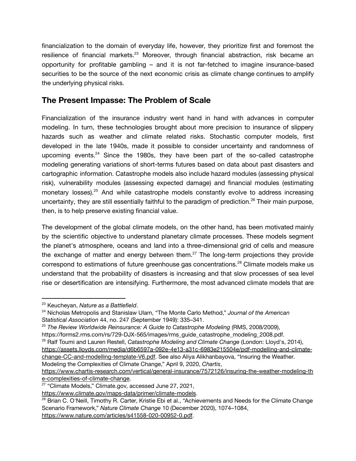financialization to the domain of everyday life, however, they prioritize first and foremost the resilience of financial markets.<sup>23</sup> Moreover, through financial abstraction, risk became an opportunity for profitable gambling – and it is not far-fetched to imagine insurance-based securities to be the source of the next economic crisis as climate change continues to amplify the underlying physical risks.

# **The Present Impasse: The Problem of Scale**

Financialization of the insurance industry went hand in hand with advances in computer modeling. In turn, these technologies brought about more precision to insurance of slippery hazards such as weather and climate related risks. Stochastic computer models, first developed in the late 1940s, made it possible to consider uncertainty and randomness of upcoming events.<sup>24</sup> Since the 1980s, they have been part of the so-called catastrophe modeling generating variations of short-terms futures based on data about past disasters and cartographic information. Catastrophe models also include hazard modules (assessing physical risk), vulnerability modules (assessing expected damage) and financial modules (estimating monetary losses).<sup>25</sup> And while catastrophe models constantly evolve to address increasing uncertainty, they are still essentially faithful to the paradigm of prediction.<sup>26</sup> Their main purpose, then, is to help preserve existing financial value.

The development of the global climate models, on the other hand, has been motivated mainly by the scientific objective to understand planetary climate processes. These models segment the planet's atmosphere, oceans and land into a three-dimensional grid of cells and measure the exchange of matter and energy between them.<sup>27</sup> The long-term projections they provide correspond to estimations of future greenhouse gas concentrations.<sup>28</sup> Climate models make us understand that the probability of disasters is increasing and that slow processes of sea level rise or desertification are intensifying. Furthermore, the most advanced climate models that are

- <sup>25</sup> *The Review Worldwide Reinsurance: A Guide to Catastrophe Modeling* (RMS, 2008/2009), https://forms2.rms.com/rs/729-DJX-565/images/rms\_guide\_catastrophe\_modeling\_2008.pdf.
- <sup>26</sup> Ralf Toumi and Lauren Restell, *Catastrophe Modeling and Climate Change* (London: Lloyd's, 2014),
- [https://assets.lloyds.com/media/d6b6597a-092e-4e13-a31c-6983e215504e/pdf-modelling-and-climate](https://assets.lloyds.com/media/d6b6597a-092e-4e13-a31c-6983e215504e/pdf-modelling-and-climate-change-CC-and-modelling-template-V6.pdf)[change-CC-and-modelling-template-V6.pdf](https://assets.lloyds.com/media/d6b6597a-092e-4e13-a31c-6983e215504e/pdf-modelling-and-climate-change-CC-and-modelling-template-V6.pdf). See also Aliya Alikhanbayova, "Insuring the Weather.

Modeling the Complexities of Climate Change," April 9, 2020, *Chartis*, [https://www.chartis-research.com/vertical/general-insurance/7572126/insuring-the-weather-modeling-th](https://www.chartis-research.com/vertical/general-insurance/7572126/insuring-the-weather-modeling-the-complexities-of-climate-change)

[e-complexities-of-climate-change.](https://www.chartis-research.com/vertical/general-insurance/7572126/insuring-the-weather-modeling-the-complexities-of-climate-change)

<sup>23</sup> Keucheyan, *Nature as a Battlefield*.

<sup>24</sup> Nicholas Metropolis and Stanislaw Ulam, "The Monte Carlo Method," *Journal of the American Statistical Association* 44, no. 247 (September 1949): 335–341.

<sup>&</sup>lt;sup>27</sup> "Climate Models," Climate.gov, accessed June 27, 2021,

<https://www.climate.gov/maps-data/primer/climate-models>.

<sup>&</sup>lt;sup>28</sup> Brian C. O'Neill, Timothy R. Carter, Kristie Ebi et al., "Achievements and Needs for the Climate Change Scenario Framework," *Nature Climate Change* 10 (December 2020), 1074–1084,

<https://www.nature.com/articles/s41558-020-00952-0.pdf>.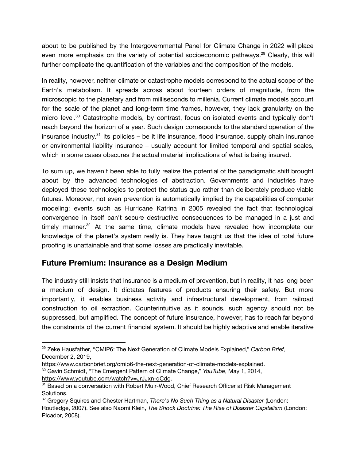about to be published by the Intergovernmental Panel for Climate Change in 2022 will place even more emphasis on the variety of potential socioeconomic pathways.<sup>29</sup> Clearly, this will further complicate the quantification of the variables and the composition of the models.

In reality, however, neither climate or catastrophe models correspond to the actual scope of the Earth's metabolism. It spreads across about fourteen orders of magnitude, from the microscopic to the planetary and from milliseconds to millenia. Current climate models account for the scale of the planet and long-term time frames, however, they lack granularity on the micro level.<sup>30</sup> Catastrophe models, by contrast, focus on isolated events and typically don't reach beyond the horizon of a year. Such design corresponds to the standard operation of the insurance industry.<sup>31</sup> Its policies – be it life insurance, flood insurance, supply chain insurance or environmental liability insurance – usually account for limited temporal and spatial scales, which in some cases obscures the actual material implications of what is being insured.

To sum up, we haven't been able to fully realize the potential of the paradigmatic shift brought about by the advanced technologies of abstraction. Governments and industries have deployed these technologies to protect the status quo rather than deliberately produce viable futures. Moreover, not even prevention is automatically implied by the capabilities of computer modeling: events such as Hurricane Katrina in 2005 revealed the fact that technological convergence in itself can't secure destructive consequences to be managed in a just and timely manner.<sup>32</sup> At the same time, climate models have revealed how incomplete our knowledge of the planet's system really is. They have taught us that the idea of total future proofing is unattainable and that some losses are practically inevitable.

# **Future Premium: Insurance as a Design Medium**

The industry still insists that insurance is a medium of prevention, but in reality, it has long been a medium of design. It dictates features of products ensuring their safety. But more importantly, it enables business activity and infrastructural development, from railroad construction to oil extraction. Counterintuitive as it sounds, such agency should not be suppressed, but amplified. The concept of future insurance, however, has to reach far beyond the constraints of the current financial system. It should be highly adaptive and enable iterative

<sup>30</sup> Gavin Schmidt, "The Emergent Pattern of Climate Change," *YouTube*, May 1, 2014, <https://www.youtube.com/watch?v=JrJJxn-gCdo>. <https://www.carbonbrief.org/cmip6-the-next-generation-of-climate-models-explained>.

<sup>29</sup> Zeke Hausfather, "CMIP6: The Next Generation of Climate Models Explained," *Carbon Brief*, December 2, 2019,

<sup>&</sup>lt;sup>31</sup> Based on a conversation with Robert Muir-Wood, Chief Research Officer at Risk Management Solutions.

<sup>32</sup> Gregory Squires and Chester Hartman, *There's No Such Thing as a Natural Disaster* (London: Routledge, 2007). See also Naomi Klein, *The Shock Doctrine: The Rise of Disaster Capitalism* (London: Picador, 2008).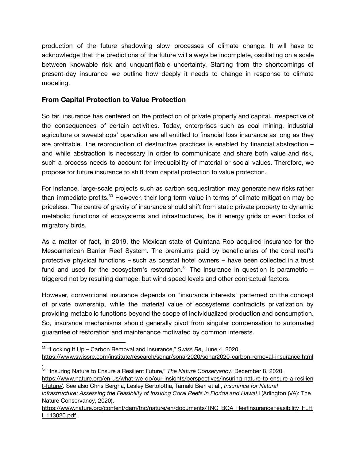production of the future shadowing slow processes of climate change. It will have to acknowledge that the predictions of the future will always be incomplete, oscillating on a scale between knowable risk and unquantifiable uncertainty. Starting from the shortcomings of present-day insurance we outline how deeply it needs to change in response to climate modeling.

### **From Capital Protection to Value Protection**

So far, insurance has centered on the protection of private property and capital, irrespective of the consequences of certain activities. Today, enterprises such as coal mining, industrial agriculture or sweatshops' operation are all entitled to financial loss insurance as long as they are profitable. The reproduction of destructive practices is enabled by financial abstraction – and while abstraction is necessary in order to communicate and share both value and risk, such a process needs to account for irreducibility of material or social values. Therefore, we propose for future insurance to shift from capital protection to value protection.

For instance, large-scale projects such as carbon sequestration may generate new risks rather than immediate profits.<sup>33</sup> However, their long term value in terms of climate mitigation may be priceless. The centre of gravity of insurance should shift from static private property to dynamic metabolic functions of ecosystems and infrastructures, be it energy grids or even flocks of migratory birds.

As a matter of fact, in 2019, the Mexican state of Quintana Roo acquired insurance for the Mesoamerican Barrier Reef System. The premiums paid by beneficiaries of the coral reef's protective physical functions – such as coastal hotel owners – have been collected in a trust fund and used for the ecosystem's restoration. $34$  The insurance in question is parametric  $$ triggered not by resulting damage, but wind speed levels and other contractual factors.

However, conventional insurance depends on "insurance interests" patterned on the concept of private ownership, while the material value of ecosystems contradicts privatization by providing metabolic functions beyond the scope of individualized production and consumption. So, insurance mechanisms should generally pivot from singular compensation to automated guarantee of restoration and maintenance motivated by common interests.

[https://www.nature.org/en-us/what-we-do/our-insights/perspectives/insuring-nature-to-ensure-a-resilien](https://www.nature.org/en-us/what-we-do/our-insights/perspectives/insuring-nature-to-ensure-a-resilient-future/) [t-future/](https://www.nature.org/en-us/what-we-do/our-insights/perspectives/insuring-nature-to-ensure-a-resilient-future/). See also Chris Bergha, Lesley Bertolottia, Tamaki Bieri et al., *Insurance for Natural*

<sup>33</sup> "Locking It Up – Carbon Removal and Insurance," *Swiss Re*, June 4, 2020, <https://www.swissre.com/institute/research/sonar/sonar2020/sonar2020-carbon-removal-insurance.html>

<sup>34</sup> "Insuring Nature to Ensure a Resilient Future," *The Nature Conservancy*, December 8, 2020, .

*Infrastructure: Assessing the Feasibility of Insuring Coral Reefs in Florida and Hawai'*i (Arlington (VA): The Nature Conservancy, 2020),

[https://www.nature.org/content/dam/tnc/nature/en/documents/TNC\\_BOA\\_ReefInsuranceFeasibility\\_FLH](https://www.nature.org/content/dam/tnc/nature/en/documents/TNC_BOA_ReefInsuranceFeasibility_FLHI_113020.pdf) [I\\_113020.pdf.](https://www.nature.org/content/dam/tnc/nature/en/documents/TNC_BOA_ReefInsuranceFeasibility_FLHI_113020.pdf)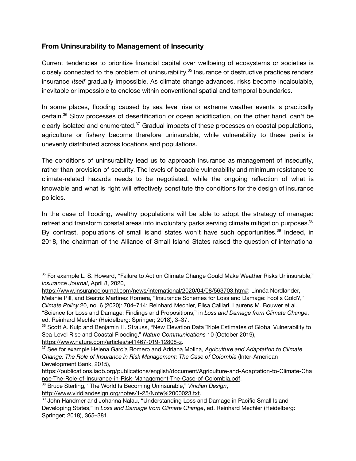## **From Uninsurability to Management of Insecurity**

Current tendencies to prioritize financial capital over wellbeing of ecosystems or societies is closely connected to the problem of uninsurability. 35 Insurance of destructive practices renders insurance *itself* gradually impossible. As climate change advances, risks become incalculable, inevitable or impossible to enclose within conventional spatial and temporal boundaries.

In some places, flooding caused by sea level rise or extreme weather events is practically certain.<sup>36</sup> Slow processes of desertification or ocean acidification, on the other hand, can't be clearly isolated and enumerated. $37$  Gradual impacts of these processes on coastal populations, agriculture or fishery become therefore uninsurable, while vulnerability to these perils is unevenly distributed across locations and populations.

The conditions of uninsurability lead us to approach insurance as management of insecurity, rather than provision of security. The levels of bearable vulnerability and minimum resistance to climate-related hazards needs to be negotiated, while the ongoing reflection of what is knowable and what is right will effectively constitute the conditions for the design of insurance policies.

In the case of flooding, wealthy populations will be able to adopt the strategy of managed retreat and transform coastal areas into involuntary parks serving climate mitigation purposes. $^{38}$ By contrast, populations of small island states won't have such opportunities.<sup>39</sup> Indeed, in 2018, the chairman of the Alliance of Small Island States raised the question of international

<sup>&</sup>lt;sup>35</sup> For example L. S. Howard, "Failure to Act on Climate Change Could Make Weather Risks Uninsurable," *Insurance Journal*, April 8, 2020,

[https://www.insurancejournal.com/news/international/2020/04/08/563703.htm#;](https://www.insurancejournal.com/news/international/2020/04/08/563703.htm#) Linnéa Nordlander, Melanie Pill, and Beatriz Martinez Romera, "Insurance Schemes for Loss and Damage: Fool's Gold?," *Climate Policy* 20, no. 6 (2020): 704–714; Reinhard Mechler, Elisa Calliari, Laurens M. Bouwer et al., "Science for Loss and Damage: Findings and Propositions," in *Loss and Damage from Climate Change*, ed. Reinhard Mechler (Heidelberg: Springer; 2018), 3–37.

<sup>36</sup> Scott A. Kulp and Benjamin H. Strauss, "New Elevation Data Triple Estimates of Global Vulnerability to Sea-Level Rise and Coastal Flooding," *Nature Communications* 10 (October 2019), [https://www.nature.com/articles/s41467-019-12808-z.](https://www.nature.com/articles/s41467-019-12808-z)

<sup>37</sup> See for example Helena García Romero and Adriana Molina, *Agriculture and Adaptation to Climate Change: The Role of Insurance in Risk Management: The Case of Colombia* (Inter-American Development Bank, 2015),

[https://publications.iadb.org/publications/english/document/Agriculture-and-Adaptation-to-Climate-Cha](https://publications.iadb.org/publications/english/document/Agriculture-and-Adaptation-to-Climate-Change-The-Role-of-Insurance-in-Risk-Management-The-Case-of-Colombia.pdf) [nge-The-Role-of-Insurance-in-Risk-Management-The-Case-of-Colombia.pdf](https://publications.iadb.org/publications/english/document/Agriculture-and-Adaptation-to-Climate-Change-The-Role-of-Insurance-in-Risk-Management-The-Case-of-Colombia.pdf).

<sup>38</sup> Bruce Sterling, "The World Is Becoming Uninsurable," *Viridian Design*,

[http://www.viridiandesign.org/notes/1-25/Note%2000023.txt.](http://www.viridiandesign.org/notes/1-25/Note%2000023.txt)

<sup>&</sup>lt;sup>39</sup> John Handmer and Johanna Nalau, "Understanding Loss and Damage in Pacific Small Island Developing States," in *Loss and Damage from Climate Change*, ed. Reinhard Mechler (Heidelberg: Springer; 2018), 365–381.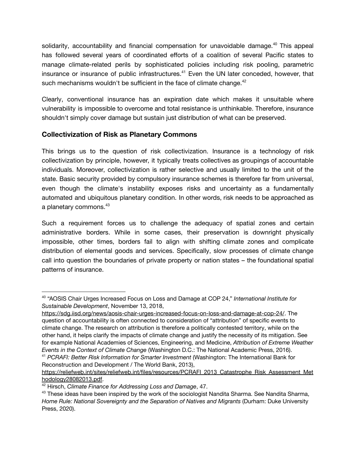solidarity, accountability and financial compensation for unavoidable damage.<sup>40</sup> This appeal has followed several years of coordinated efforts of a coalition of several Pacific states to manage climate-related perils by sophisticated policies including risk pooling, parametric insurance or insurance of public infrastructures.<sup>41</sup> Even the UN later conceded, however, that such mechanisms wouldn't be sufficient in the face of climate change. $42$ 

Clearly, conventional insurance has an expiration date which makes it unsuitable where vulnerability is impossible to overcome and total resistance is unthinkable. Therefore, insurance shouldn't simply cover damage but sustain just distribution of what can be preserved.

## **Collectivization of Risk as Planetary Commons**

This brings us to the question of risk collectivization. Insurance is a technology of risk collectivization by principle, however, it typically treats collectives as groupings of accountable individuals. Moreover, collectivization is rather selective and usually limited to the unit of the state. Basic security provided by compulsory insurance schemes is therefore far from universal, even though the climate's instability exposes risks and uncertainty as a fundamentally automated and ubiquitous planetary condition. In other words, risk needs to be approached as a planetary commons. $^{43}$ 

Such a requirement forces us to challenge the adequacy of spatial zones and certain administrative borders. While in some cases, their preservation is downright physically impossible, other times, borders fail to align with shifting climate zones and complicate distribution of elemental goods and services. Specifically, slow processes of climate change call into question the boundaries of private property or nation states – the foundational spatial patterns of insurance.

<sup>40</sup> "AOSIS Chair Urges Increased Focus on Loss and Damage at COP 24," *International Institute for Sustainable Development*, November 13, 2018,

<sup>41</sup> *PCRAFI: Better Risk Information for Smarter Investment* (Washington: The International Bank for Reconstruction and Development / The World Bank, 2013), <https://sdg.iisd.org/news/aosis-chair-urges-increased-focus-on-loss-and-damage-at-cop-24/>. The question of accountability is often connected to consideration of "attribution" of specific events to climate change. The research on attribution is therefore a politically contested territory, while on the other hand, it helps clarify the impacts of climate change and justify the necessity of its mitigation. See for example National Academies of Sciences, Engineering, and Medicine, *[Attribution](https://www.nap.edu/read/21852) of Extreme Weather Events in the [Context](https://www.nap.edu/read/21852) of Climate Change* (Washington D.C.: The National Academic Press, 2016).

[https://reliefweb.int/sites/reliefweb.int/files/resources/PCRAFI\\_2013\\_Catastrophe\\_Risk\\_Assessment\\_Met](https://reliefweb.int/sites/reliefweb.int/files/resources/PCRAFI_2013_Catastrophe_Risk_Assessment_Methodology28082013.pdf) [hodology28082013.pdf.](https://reliefweb.int/sites/reliefweb.int/files/resources/PCRAFI_2013_Catastrophe_Risk_Assessment_Methodology28082013.pdf)

<sup>42</sup> Hirsch, *Climate Finance for Addressing Loss and Damage*, 47.

<sup>&</sup>lt;sup>43</sup> These ideas have been inspired by the work of the sociologist Nandita Sharma. See Nandita Sharma, *Home Rule: National Sovereignty and the Separation of Natives and Migrants* (Durham: Duke University Press, 2020).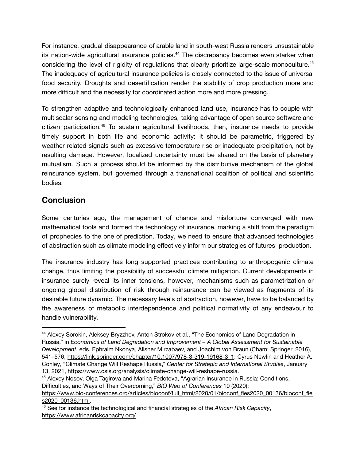For instance, gradual disappearance of arable land in south-west Russia renders unsustainable its nation-wide agricultural insurance policies.<sup>44</sup> The discrepancy becomes even starker when considering the level of rigidity of regulations that clearly prioritize large-scale monoculture.<sup>45</sup> The inadequacy of agricultural insurance policies is closely connected to the issue of universal food security. Droughts and desertification render the stability of crop production more and more difficult and the necessity for coordinated action more and more pressing.

To strengthen adaptive and technologically enhanced land use, insurance has to couple with multiscalar sensing and modeling technologies, taking advantage of open source software and citizen participation.<sup>46</sup> To sustain agricultural livelihoods, then, insurance needs to provide timely support in both life and economic activity: it should be parametric, triggered by weather-related signals such as excessive temperature rise or inadequate precipitation, not by resulting damage. However, localized uncertainty must be shared on the basis of planetary mutualism. Such a process should be informed by the distributive mechanism of the global reinsurance system, but governed through a transnational coalition of political and scientific bodies.

# **Conclusion**

Some centuries ago, the management of chance and misfortune converged with new mathematical tools and formed the technology of insurance, marking a shift from the paradigm of prophecies to the one of prediction. Today, we need to ensure that advanced technologies of abstraction such as climate modeling effectively inform our strategies of futures' production.

The insurance industry has long supported practices contributing to anthropogenic climate change, thus limiting the possibility of successful climate mitigation. Current developments in insurance surely reveal its inner tensions, however, mechanisms such as parametrization or ongoing global distribution of risk through reinsurance can be viewed as fragments of its desirable future dynamic. The necessary levels of abstraction, however, have to be balanced by the awareness of metabolic interdependence and political normativity of any endeavour to handle vulnerability.

<sup>45</sup> Alexey Nosov, Olga Tagirova and Marina Fedotova, "Agrarian Insurance in Russia: Conditions, Difficulties, and Ways of Their Overcoming," *BIO Web of Conferences* 10 (2020):

<sup>44</sup> Alexey Sorokin, Aleksey Bryzzhev, Anton Strokov et al., "The Economics of Land Degradation in Russia," in *Economics of Land Degradation and Improvement – A Global Assessment for Sustainable Development*, eds. Ephraim Nkonya, Alisher Mirzabaev, and Joachim von Braun (Cham: Springer, 2016), 541–576, [https://link.springer.com/chapter/10.1007/978-3-319-19168-3\\_1;](https://link.springer.com/chapter/10.1007/978-3-319-19168-3_1) Cyrus Newlin and Heather A. Conley, "Climate Change Will Reshape Russia," *Center for Strategic and International Studies*, January 13, 2021, [https://www.csis.org/analysis/climate-change-will-reshape-russia.](https://www.csis.org/analysis/climate-change-will-reshape-russia)

[https://www.bio-conferences.org/articles/bioconf/full\\_html/2020/01/bioconf\\_fies2020\\_00136/bioconf\\_fie](https://www.bio-conferences.org/articles/bioconf/full_html/2020/01/bioconf_fies2020_00136/bioconf_fies2020_00136.html) [s2020\\_00136.html](https://www.bio-conferences.org/articles/bioconf/full_html/2020/01/bioconf_fies2020_00136/bioconf_fies2020_00136.html).

<sup>46</sup> See for instance the technological and financial strategies of the *African Risk Capacity*, [https://www.africanriskcapacity.org/.](https://www.africanriskcapacity.org/)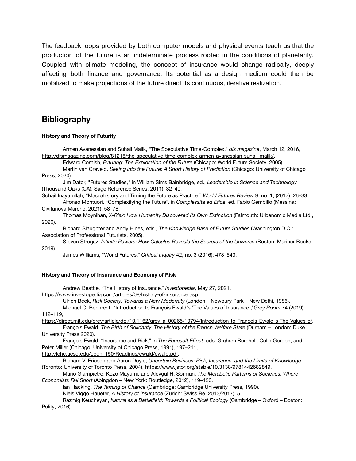The feedback loops provided by both computer models and physical events teach us that the production of the future is an indeterminate process rooted in the conditions of planetarity. Coupled with climate modeling, the concept of insurance would change radically, deeply affecting both finance and governance. Its potential as a design medium could then be mobilized to make projections of the future direct its continuous, iterative realization.

## **Bibliography**

#### **History and Theory of Futurity**

Armen Avanessian and Suhail Malik, "The Speculative Time-Complex," *dis magazine*, March 12, 2016, [http://dismagazine.com/blog/81218/the-speculative-time-complex-armen-avanessian-suhail-malik/.](http://dismagazine.com/blog/81218/the-speculative-time-complex-armen-avanessian-suhail-malik/)

Edward Cornish, *Futuring: The Exploration of the Future* (Chicago: World Future Society, 2005)

Martin van Creveld, *Seeing into the Future: A Short History of Prediction* (Chicago: University of Chicago Press, 2020).

Jim Dator, "Futures Studies," in William Sims Bainbridge, ed., *Leadership in Science and Technology* (Thousand Oaks (CA): Sage Reference Series, 2011), 32–40.

Sohail Inayatullah, "Macrohistory and Timing the Future as Practice," *World Futures Review* 9, no. 1, (2017): 26–33. Alfonso Montuori, "Complexifying the Future", in *Complessita ed Etica*, ed. Fabio Gembillo (Messina:

Civitanova Marche, 2021), 58–78.

Thomas Moynihan, *X-Risk: How Humanity Discovered Its Own Extinction* (Falmouth: Urbanomic Media Ltd., 2020).

Richard Slaughter and Andy Hines, eds., *The Knowledge Base of Future Studies* (Washington D.C.: Association of Professional Futurists, 2005).

Steven Strogaz, *Infinite Powers: How Calculus Reveals the Secrets of the Universe* (Boston: Mariner Books, 2019).

James Williams, "World Futures," *Critical Inquiry* 42, no. 3 (2016): 473–543.

#### **History and Theory of Insurance and Economy of Risk**

Andrew Beattie, "The History of Insurance," *Investopedia*, May 27, 2021,

[https://www.investopedia.com/articles/08/history-of-insurance.asp.](https://www.investopedia.com/articles/08/history-of-insurance.asp)

Ulrich Beck, *Risk Society: Towards a New Modernity* (London – Newbury Park – New Delhi, 1986).

Michael C. Behnrent, "Introduction to François Ewald's 'The Values of Insurance',"*Grey Room* 74 (2019): 112–119,

[https://direct.mit.edu/grey/article/doi/10.1162/grey\\_a\\_00265/10794/Introduction-to-Francois-Ewald-s-The-Values-of.](https://direct.mit.edu/grey/article/doi/10.1162/grey_a_00265/10794/Introduction-to-Francois-Ewald-s-The-Values-of) François Ewald, *The Birth of Solidarity. The History of the French Welfare State* (Durham – London: Duke

University Press 2020).

François Ewald, "Insurance and Risk," in *The Foucault Effect*, eds. Graham Burchell, Colin Gordon, and Peter Miller (Chicago: University of Chicago Press, 1991), 197–211,

[http://lchc.ucsd.edu/cogn\\_150/Readings/ewald/ewald.pdf](http://lchc.ucsd.edu/cogn_150/Readings/ewald/ewald.pdf).

Richard V. Ericson and Aaron Doyle, *Uncertain Business: Risk, Insurance, and the Limits of Knowledge* (Toronto: University of Toronto Press, 2004), <https://www.jstor.org/stable/10.3138/9781442682849>.

Mario Giampietro, Kozo Mayumi, and Alevgül H. Sorman, *The Metabolic Patterns of Societies: Where Economists Fall Short* (Abingdon – New York: Routledge, 2012), 119–120.

Ian Hacking, *The Taming of Chance* (Cambridge: Cambridge University Press, 1990).

Niels Viggo Haueter, *A History of Insurance* (Zurich: Swiss Re, 2013/2017), 5.

Razmig Keucheyan, *Nature as a Battlefield: Towards a Political Ecology* (Cambridge – Oxford – Boston: Polity, 2016).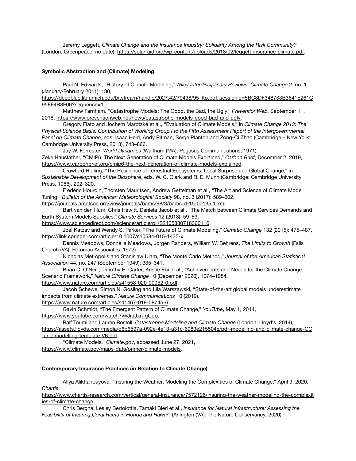Jeremy Leggett, *Climate Change and the Insurance Industry: Solidarity Among the Risk Community?* (London: Greenpeace, no date), [https://solar-aid.org/wp-content/uploads/2018/02/leggett-insurance-climate.pdf.](https://solar-aid.org/wp-content/uploads/2018/02/leggett-insurance-climate.pdf)

#### **Symbolic Abstraction and (Climate) Modeling**

Paul N. Edwards, "History of Climate Modeling," *Wiley Interdisciplinary Reviews: Climate Change* 2, no. 1 (January/February 2011): 130,

[https://deepblue.lib.umich.edu/bitstream/handle/2027.42/79438/95\\_ftp.pdf;jsessionid=5BC8DF348733B3641E261C](https://deepblue.lib.umich.edu/bitstream/handle/2027.42/79438/95_ftp.pdf;jsessionid=5BC8DF348733B3641E261C95FF4B8F06?sequence=1) [95FF4B8F06?sequence=1](https://deepblue.lib.umich.edu/bitstream/handle/2027.42/79438/95_ftp.pdf;jsessionid=5BC8DF348733B3641E261C95FF4B8F06?sequence=1).

Matthew Farnham, "Catastrophe Models: The Good, the Bad, the Ugly," *PreventionWeb*, September 11, 2018, [https://www.preventionweb.net/news/catastrophe-models-good-bad-and-ugly.](https://www.preventionweb.net/news/catastrophe-models-good-bad-and-ugly)

Gregory Flato and Jochem Marotzke et al., "Evaluation of Climate Models," in *Climate Change 2013: The Physical Science Basis. Contribution of Working Group I to the Fifth Assessment Report of the Intergovernmental Panel on Climate Change*, eds. Isaac Held, Andy Pitman, Serge Planton and Zong-Ci Zhao (Cambridge – New York: Cambridge University Press, 2013), 743–866.

Jay W. Forrester, *World Dynamics* (Waltham (MA): Pegasus Communications, 1971).

Zeke Hausfather, "CMIP6: The Next Generation of Climate Models Explained," *Carbon Brief*, December 2, 2019, <https://www.carbonbrief.org/cmip6-the-next-generation-of-climate-models-explained>.

Crawford Holling, "The Resilience of Terrestrial Ecosystems: Local Surprise and Global Change," in *Sustainable Development of the Biosphere*, eds. W. C. Clark and R. E. Munn (Cambridge: Cambridge University Press, 1986), 292–320.

Frédéric Hourdin, Thorsten Mauritsen, Andrew Gettelman et al., "The Art and Science of Climate Model Tuning," *Bulletin of the American Meteorological Society* 98, no. 3 (2017): 589–602,

[https://journals.ametsoc.org/view/journals/bams/98/3/bams-d-15-00135.1.xml.](https://journals.ametsoc.org/view/journals/bams/98/3/bams-d-15-00135.1.xml-)

Bart van den Hurk, Chris Hewitt, Daniela Jacob et al., "The Match between Climate Services Demands and Earth System Models Supplies," *Climate Services* 12 (2018): 59–63,

<https://www.sciencedirect.com/science/article/pii/S2405880718300116>.

Joel Katzav and Wendy S. Parker, "The Future of Climate Modeling," *Climatic Change* 132 (2015): 475–487, <https://link.springer.com/article/10.1007/s10584-015-1435-x>.

Dennis Meadows, Donnella Meadows, Jorgen Randers, William W. Behrens, *The Limits to Growth* (Falls Church (VA): Potomac Associates, 1972).

Nicholas Metropolis and Stanislaw Ulam, "The Monte Carlo Method," *Journal of the American Statistical Association* 44, no. 247 (September 1949): 335–341.

Brian C. O'Neill, Timothy R. Carter, Kristie Ebi et al., "Achievements and Needs for the Climate Change Scenario Framework," *Nature Climate Change* 10 (December 2020), 1074–1084,

<https://www.nature.com/articles/s41558-020-00952-0.pdf>.

Jacob Schewe, Simon N. Gosling and Lila Warszawski, "State-of-the-art global models underestimate impacts from climate extremes," *Nature Communications* 10 (2019),

<https://www.nature.com/articles/s41467-019-08745-6>.

Gavin Schmidt, "The Emergent Pattern of Climate Change," *YouTube*, May 1, 2014, <https://www.youtube.com/watch?v=JrJJxn-gCdo>.

Ralf Toumi and Lauren Restell, *Catastrophe Modeling and Climate Change* (London: Lloyd's, 2014), [https://assets.lloyds.com/media/d6b6597a-092e-4e13-a31c-6983e215504e/pdf-modelling-and-climate-change-CC](https://assets.lloyds.com/media/d6b6597a-092e-4e13-a31c-6983e215504e/pdf-modelling-and-climate-change-CC-and-modelling-template-V6.pdf) [-and-modelling-template-V6.pdf](https://assets.lloyds.com/media/d6b6597a-092e-4e13-a31c-6983e215504e/pdf-modelling-and-climate-change-CC-and-modelling-template-V6.pdf).

"Climate Models," *Climate.gov*, accessed June 27, 2021, [https://www.climate.gov/maps-data/primer/climate-models.](https://www.climate.gov/maps-data/primer/climate-models)

#### **Contemporary Insurance Practices (in Relation to Climate Change)**

Aliya Alikhanbayova, "Insuring the Weather. Modeling the Complexities of Climate Change," April 9, 2020, *Chartis*,

[https://www.chartis-research.com/vertical/general-insurance/7572126/insuring-the-weather-modeling-the-complexit](https://www.chartis-research.com/vertical/general-insurance/7572126/insuring-the-weather-modeling-the-complexities-of-climate-change) [ies-of-climate-change](https://www.chartis-research.com/vertical/general-insurance/7572126/insuring-the-weather-modeling-the-complexities-of-climate-change).

Chris Bergha, Lesley Bertolottia, Tamaki Bieri et al., *Insurance for Natural Infrastructure: Assessing the Feasibility of Insuring Coral Reefs in Florida and Hawai'*i (Arlington (VA): The Nature Conservancy, 2020),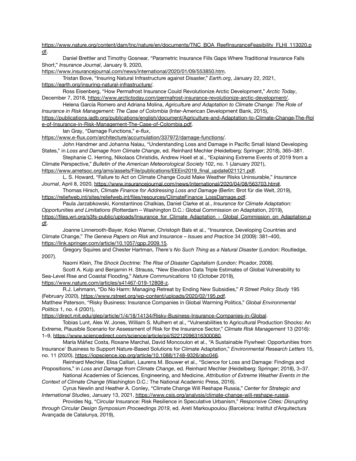[https://www.nature.org/content/dam/tnc/nature/en/documents/TNC\\_BOA\\_ReefInsuranceFeasibility\\_FLHI\\_113020.p](https://www.nature.org/content/dam/tnc/nature/en/documents/TNC_BOA_ReefInsuranceFeasibility_FLHI_113020.pdf) [df.](https://www.nature.org/content/dam/tnc/nature/en/documents/TNC_BOA_ReefInsuranceFeasibility_FLHI_113020.pdf)

Daniel Brettler and Timothy Gosnear, "Parametric Insurance Fills Gaps Where Traditional Insurance Falls Short," *Insurance Journal*, January 9, 2020,

<https://www.insurancejournal.com/news/international/2020/01/09/553850.htm>.

Tristan Bove, "Insuring Natural Infrastructure against Disaster," *Earth.org*, January 22, 2021, <https://earth.org/insuring-natural-infrastructure/>.

Ross Eisenberg, "How Permafrost Insurance Could Revolutionize Arctic Development," *Arctic Today*, December 7, 2018, <https://www.arctictoday.com/permafrost-insurance-revolutionize-arctic-development/>.

Helena García Romero and Adriana Molina, *Agriculture and Adaptation to Climate Change: The Role of Insurance in Risk Management: The Case of Colombia* (Inter-American Development Bank, 2015),

[https://publications.iadb.org/publications/english/document/Agriculture-and-Adaptation-to-Climate-Change-The-Rol](https://publications.iadb.org/publications/english/document/Agriculture-and-Adaptation-to-Climate-Change-The-Role-of-Insurance-in-Risk-Management-The-Case-of-Colombia.pdf) [e-of-Insurance-in-Risk-Management-The-Case-of-Colombia.pdf.](https://publications.iadb.org/publications/english/document/Agriculture-and-Adaptation-to-Climate-Change-The-Role-of-Insurance-in-Risk-Management-The-Case-of-Colombia.pdf)

Ian Gray, "Damage Functions," *e-flux*,

<https://www.e-flux.com/architecture/accumulation/337972/damage-functions/>.

John Handmer and Johanna Nalau, "Understanding Loss and Damage in Pacific Small Island Developing States," in *Loss and Damage from Climate Change*, ed. Reinhard Mechler (Heidelberg: Springer; 2018), 365–381.

Stephanie C. Herring, Nikolaos Christidis, Andrew Hoell et al., "Explaining Extreme Events of 2019 from a Climate Perspective," *Bulletin of the American Meteorological Society* 102, no. 1 (January 2021),

[https://www.ametsoc.org/ams/assets/File/publications/EEEin2019\\_final\\_update021121.pdf](https://www.ametsoc.org/ams/assets/File/publications/EEEin2019_final_update021121.pdf). L. S. Howard, "Failure to Act on Climate Change Could Make Weather Risks Uninsurable," *Insurance*

*Journal*, April 8, 2020, [https://www.insurancejournal.com/news/international/2020/04/08/563703.htm#.](https://www.insurancejournal.com/news/international/2020/04/08/563703.htm#) Thomas Hirsch, *Climate Finance for Addressing Loss and Damage* (Berlin: Brot für die Welt, 2019),

[https://reliefweb.int/sites/reliefweb.int/files/resources/ClimateFinance\\_LossDamage.pdf](https://reliefweb.int/sites/reliefweb.int/files/resources/ClimateFinance_LossDamage.pdf).

Paula Jarzabkowski, Konstantinos Chalkias, Daniel Clarke et al., *Insurance for Climate Adaptation: Opportunities and Limitations* (Rotterdam – Washington D.C.: Global Commission on Adaptation, 2019), [https://files.wri.org/s3fs-public/uploads/Insurance\\_for\\_Climate\\_Adaptation\\_-\\_Global\\_Commission\\_on\\_Adaptation.p](https://files.wri.org/s3fs-public/uploads/Insurance_for_Climate_Adaptation_-_Global_Commission_on_Adaptation.pdf) [df.](https://files.wri.org/s3fs-public/uploads/Insurance_for_Climate_Adaptation_-_Global_Commission_on_Adaptation.pdf)

Joanne Linnerooth-Bayer, Koko Warner, Christoph Bals et al., "Insurance, Developing Countries and Climate Change," *The Geneva Papers on Risk and Insurance – Issues and Practice* 34 (2009): 381–400, [https://link.springer.com/article/10.1057/gpp.2009.15.](https://link.springer.com/article/10.1057/gpp.2009.15)

Gregory Squires and Chester Hartman, *There's No Such Thing as a Natural Disaster* (London: Routledge, 2007).

Naomi Klein, *The Shock Doctrine: The Rise of Disaster Capitalism* (London: Picador, 2008).

Scott A. Kulp and Benjamin H. Strauss, "New Elevation Data Triple Estimates of Global Vulnerability to Sea-Level Rise and Coastal Flooding," *Nature Communications* 10 (October 2019), [https://www.nature.com/articles/s41467-019-12808-z.](https://www.nature.com/articles/s41467-019-12808-z)

R.J. Lehmann, "Do No Harm: Managing Retreat by Ending New Subsidies," *R Street Policy Study* 195 (February 2020), [https://www.rstreet.org/wp-content/uploads/2020/02/195.pdf.](https://www.rstreet.org/wp-content/uploads/2020/02/195.pdf-)

Matthew Paterson, "Risky Business: Insurance Companies in Global Warming Politics," *Global Environmental Politics* 1, no. 4 (2001),

<https://direct.mit.edu/glep/article/1/4/18/14134/Risky-Business-Insurance-Companies-in-Global>.

Tobias Lunt, Alex W. Jones, William S. Mulhern et al., "Vulnerabilities to Agricultural Production Shocks: An Extreme, Plausible Scenario for Assessment of Risk for the Insurance Sector," *Climate Risk Management* 13 (2016): 1–9, [https://www.sciencedirect.com/science/article/pii/S2212096316300080.](https://www.sciencedirect.com/science/article/pii/S2212096316300080)

María Máñez Costa, Roxane Marchal, David Moncoulon et al., "A Sustainable Flywheel: Opportunities from Insurance' Business to Support Nature-Based Solutions for Climate Adaptation," *Environmental Research Letters* 15, no. 11 (2020), [https://iopscience.iop.org/article/10.1088/1748-9326/abc046.](https://iopscience.iop.org/article/10.1088/1748-9326/abc046)

Reinhard Mechler, Elisa Calliari, Laurens M. Bouwer et al., "Science for Loss and Damage: Findings and Propositions," in *Loss and Damage from Climate Change*, ed. Reinhard Mechler (Heidelberg: Springer; 2018), 3–37.

National Academies of Sciences, Engineering, and Medicine, *[Attribution of Extreme Weather Events in the](https://www.nap.edu/read/21852) [Context of Climate Change](https://www.nap.edu/read/21852)* (Washington D.C.: The National Academic Press, 2016).

Cyrus Newlin and Heather A. Conley, "Climate Change Will Reshape Russia," *Center for Strategic and International Studies*, January 13, 2021, <https://www.csis.org/analysis/climate-change-will-reshape-russia>.

Provides Ng, "Circular Insurance: Risk Resilience in Speculative Urbanism," *Responsive Cities: Disrupting through Circular Design Symposium Proceedings 2019*, ed. Areti Markoupoulou (Barcelona: Institut d'Arquitectura Avançada de Catalunya, 2019),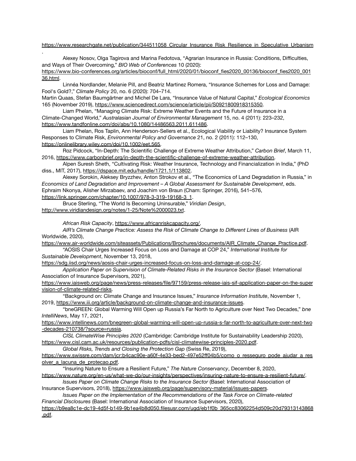#### https://www.researchgate.net/publication/344511058 Circular\_Insurance\_Risk\_Resilience\_in\_Speculative\_Urbanism

Alexey Nosov, Olga Tagirova and Marina Fedotova, "Agrarian Insurance in Russia: Conditions, Difficulties, and Ways of Their Overcoming," *BIO Web of Conferences* 10 (2020): [https://www.bio-conferences.org/articles/bioconf/full\\_html/2020/01/bioconf\\_fies2020\\_00136/bioconf\\_fies2020\\_001](https://www.bio-conferences.org/articles/bioconf/full_html/2020/01/bioconf_fies2020_00136/bioconf_fies2020_00136.html) [36.html](https://www.bio-conferences.org/articles/bioconf/full_html/2020/01/bioconf_fies2020_00136/bioconf_fies2020_00136.html).

Linnéa Nordlander, Melanie Pill, and Beatriz Martinez Romera, "Insurance Schemes for Loss and Damage: Fool's Gold?," *Climate Policy* 20, no. 6 (2020): 704–714.

Martin Quaas, Stefan Baumgärtner and Michel De Lara, "Insurance Value of Natural Capital," *Ecological Economics* 165 (November 2019), [https://www.sciencedirect.com/science/article/pii/S0921800918315350.](https://www.sciencedirect.com/science/article/pii/S0921800918315350)

Liam Phelan, "Managing Climate Risk: Extreme Weather Events and the Future of Insurance in a Climate-Changed World," *Australasian Journal of Environmental Management* 15, no. 4 (2011): 223–232, [https://www.tandfonline.com/doi/abs/10.1080/14486563.2011.611486.](https://www.tandfonline.com/doi/abs/10.1080/14486563.2011.611486)

Liam Phelan, Ros Taplin, Ann Henderson-Sellers et al., Ecological Viability or Liability? Insurance System Responses to Climate Risk, *Environmental Policy and Governance* 21, no. 2 (2011): 112–130, [https://onlinelibrary.wiley.com/doi/10.1002/eet.565.](https://onlinelibrary.wiley.com/doi/10.1002/eet.565)

Roz Pidcock, "In-Depth: The Scientific Challenge of Extreme Weather Attribution," *Carbon Brief*, March 11, 2016, [https://www.carbonbrief.org/in-depth-the-scientific-challenge-of-extreme-weather-attribution.](https://www.carbonbrief.org/in-depth-the-scientific-challenge-of-extreme-weather-attribution)

Alpen Suresh Sheth, "Cultivating Risk: Weather Insurance, Technology and Financialization in India," (PhD diss., MIT, 2017), [https://dspace.mit.edu/handle/1721.1/113802.](https://dspace.mit.edu/handle/1721.1/113802)

Alexey Sorokin, Aleksey Bryzzhev, Anton Strokov et al., "The Economics of Land Degradation in Russia," in *Economics of Land Degradation and Improvement – A Global Assessment for Sustainable Development*, eds. Ephraim Nkonya, Alisher Mirzabaev, and Joachim von Braun (Cham: Springer, 2016), 541–576,

[https://link.springer.com/chapter/10.1007/978-3-319-19168-3\\_1](https://link.springer.com/chapter/10.1007/978-3-319-19168-3_1).

Bruce Sterling, "The World Is Becoming Uninsurable," *Viridian Design*, <http://www.viridiandesign.org/notes/1-25/Note%2000023.txt>.

*African Risk Capacity*, [https://www.africanriskcapacity.org/.](https://www.africanriskcapacity.org/)

*AIR's Climate Change Practice: Assess the Risk of Climate Change to Different Lines of Business* (AIR Worldwide, 2020),

[https://www.air-worldwide.com/siteassets/Publications/Brochures/documents/AIR\\_Climate\\_Change\\_Practice.pdf](https://www.air-worldwide.com/siteassets/Publications/Brochures/documents/AIR_Climate_Change_Practice.pdf). "AOSIS Chair Urges Increased Focus on Loss and Damage at COP 24," *International Institute for*

*Sustainable Development*, November 13, 2018,

.

[https://sdg.iisd.org/news/aosis-chair-urges-increased-focus-on-loss-and-damage-at-cop-24/.](https://sdg.iisd.org/news/aosis-chair-urges-increased-focus-on-loss-and-damage-at-cop-24/)

*Application Paper on Supervision of Climate-Related Risks in the Insurance Sector* (Basel: International Association of Insurance Supervisors, 2021),

[https://www.iaisweb.org/page/news/press-releases/file/97159/press-release-iais-sif-application-paper-on-the-super](https://www.iaisweb.org/page/news/press-releases/file/97159/press-release-iais-sif-application-paper-on-the-supervision-of-climate-related-risks) [vision-of-climate-related-risks.](https://www.iaisweb.org/page/news/press-releases/file/97159/press-release-iais-sif-application-paper-on-the-supervision-of-climate-related-risks)

"Background on: Climate Change and Insurance Issues," *Insurance Information Institute*, November 1, 2019, <https://www.iii.org/article/background-on-climate-change-and-insurance-issues>.

"bneGREEN: Global Warming Will Open up Russia's Far North to Agriculture over Next Two Decades," *bne IntelliNews*, May 17, 2021,

[https://www.intellinews.com/bnegreen-global-warming-will-open-up-russia-s-far-north-to-agriculture-over-next-two](https://www.intellinews.com/bnegreen-global-warming-will-open-up-russia-s-far-north-to-agriculture-over-next-two-decades-210738/?source=russia) [-decades-210738/?source=russia.](https://www.intellinews.com/bnegreen-global-warming-will-open-up-russia-s-far-north-to-agriculture-over-next-two-decades-210738/?source=russia)

*CISL ClimateWise Principles 2020* (Cambridge: Cambridge Institute for Sustainability Leadership 2020), <https://www.cisl.cam.ac.uk/resources/publication-pdfs/cisl-climatewise-principles-2020.pdf>.

*Global Risks, Trends and Closing the Protection Gap* (Swiss Re, 2019),

https://www.swissre.com/dam/icr:b4cac90e-a60f-4e33-bed2-497e52ff04b5/como\_o\_resseguro\_pode\_ajudar\_a\_res [olver\\_a\\_lacuna\\_de\\_protecao.pdf.](https://www.swissre.com/dam/jcr:b4cac90e-a60f-4e33-bed2-497e52ff04b5/como_o_resseguro_pode_ajudar_a_resolver_a_lacuna_de_protecao.pdf)

"Insuring Nature to Ensure a Resilient Future," *The Nature Conservancy*, December 8, 2020,

<https://www.nature.org/en-us/what-we-do/our-insights/perspectives/insuring-nature-to-ensure-a-resilient-future/>. *Issues Paper on Climate Change Risks to the Insurance Sector* (Basel: International Association of

Insurance Supervisors, 2018), <https://www.iaisweb.org/page/supervisory-material/issues-papers>.

*Issues Paper on the Implementation of the Recommendations of the Task Force on Climate-related Financial Disclosures* (Basel: International Association of Insurance Supervisors, 2020),

[https://b9ea8c1e-dc19-4d5f-b149-9b1ea4b8d050.filesusr.com/ugd/eb1f0b\\_365cc83062254d509c20d79313143868](https://b9ea8c1e-dc19-4d5f-b149-9b1ea4b8d050.filesusr.com/ugd/eb1f0b_365cc83062254d509c20d79313143868.pdf) [.pdf.](https://b9ea8c1e-dc19-4d5f-b149-9b1ea4b8d050.filesusr.com/ugd/eb1f0b_365cc83062254d509c20d79313143868.pdf)